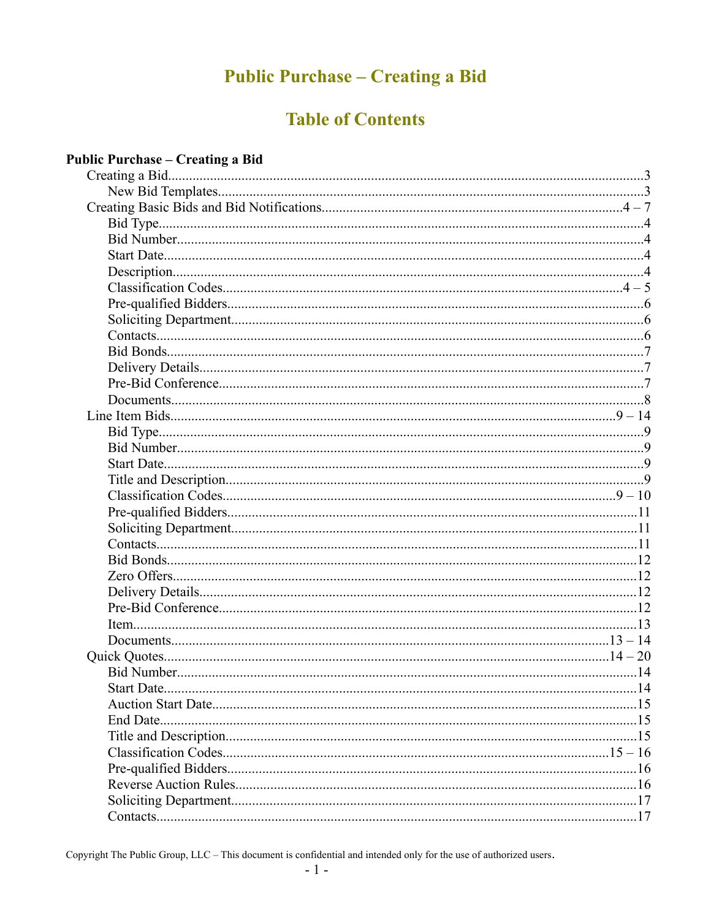# **Public Purchase - Creating a Bid**

# **Table of Contents**

### **Public Purchase - Creating a Bid**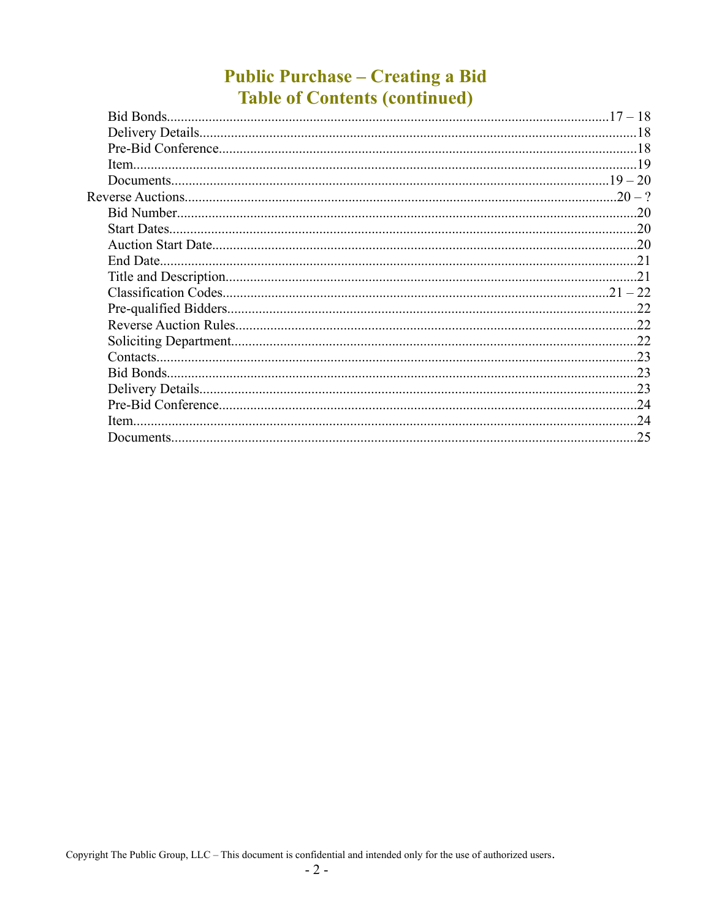## **Public Purchase - Creating a Bid Table of Contents (continued)**

| Bid Bonds |     |
|-----------|-----|
|           |     |
|           |     |
|           |     |
|           |     |
|           |     |
|           | -20 |
|           |     |
|           |     |
|           |     |
|           | 21  |
|           |     |
|           |     |
|           |     |
|           |     |
| Contacts. |     |
|           |     |
|           |     |
|           |     |
| Item.     | .24 |
|           | .25 |
|           |     |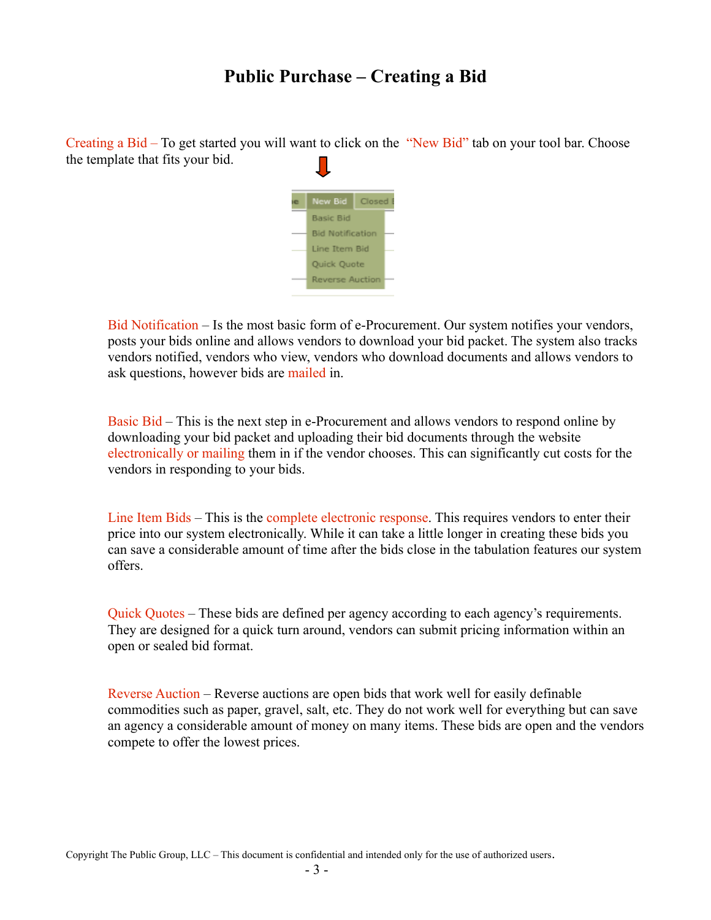## **Public Purchase – Creating a Bid**

Creating a Bid – To get started you will want to click on the "New Bid" tab on your tool bar. Choose the template that fits your bid.



Bid Notification – Is the most basic form of e-Procurement. Our system notifies your vendors, posts your bids online and allows vendors to download your bid packet. The system also tracks vendors notified, vendors who view, vendors who download documents and allows vendors to ask questions, however bids are mailed in.

Basic Bid – This is the next step in e-Procurement and allows vendors to respond online by downloading your bid packet and uploading their bid documents through the website electronically or mailing them in if the vendor chooses. This can significantly cut costs for the vendors in responding to your bids.

Line Item Bids – This is the complete electronic response. This requires vendors to enter their price into our system electronically. While it can take a little longer in creating these bids you can save a considerable amount of time after the bids close in the tabulation features our system offers.

Quick Quotes – These bids are defined per agency according to each agency's requirements. They are designed for a quick turn around, vendors can submit pricing information within an open or sealed bid format.

Reverse Auction – Reverse auctions are open bids that work well for easily definable commodities such as paper, gravel, salt, etc. They do not work well for everything but can save an agency a considerable amount of money on many items. These bids are open and the vendors compete to offer the lowest prices.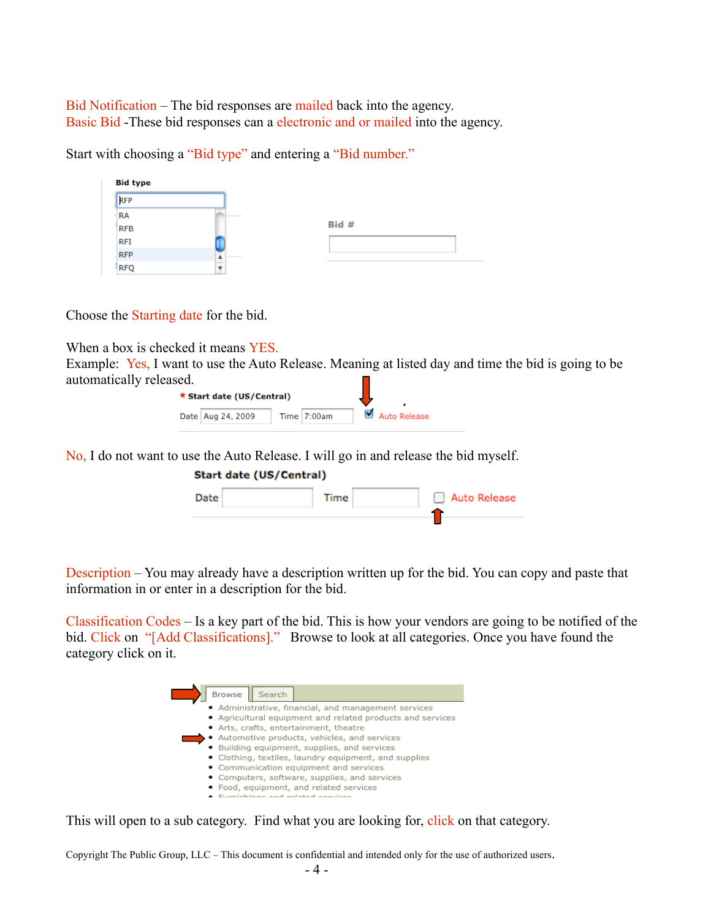Bid Notification – The bid responses are mailed back into the agency. Basic Bid -These bid responses can a electronic and or mailed into the agency.

Start with choosing a "Bid type" and entering a "Bid number."

| <b>Bid type</b> |                          |       |  |
|-----------------|--------------------------|-------|--|
| RFP             |                          |       |  |
| <b>RA</b>       |                          |       |  |
| <b>RFB</b>      |                          | Bid # |  |
| RFI             |                          |       |  |
| <b>RFP</b>      | $\overline{\phantom{a}}$ |       |  |
| <b>RFQ</b>      |                          |       |  |

Choose the Starting date for the bid.

When a box is checked it means YES.

Example: Yes, I want to use the Auto Release. Meaning at listed day and time the bid is going to be automatically released.

| ★ Start date (US/Central) |             |                |
|---------------------------|-------------|----------------|
| Date   Aug 24, 2009       | Time 7:00am | ■ Auto Release |

No, I do not want to use the Auto Release. I will go in and release the bid myself.

| <b>Start date (US/Central)</b> |      |              |
|--------------------------------|------|--------------|
| Date                           | Time | Auto Release |
|                                |      |              |

Description – You may already have a description written up for the bid. You can copy and paste that information in or enter in a description for the bid.

Classification Codes – Is a key part of the bid. This is how your vendors are going to be notified of the bid. Click on "[Add Classifications]." Browse to look at all categories. Once you have found the category click on it.



This will open to a sub category. Find what you are looking for, click on that category.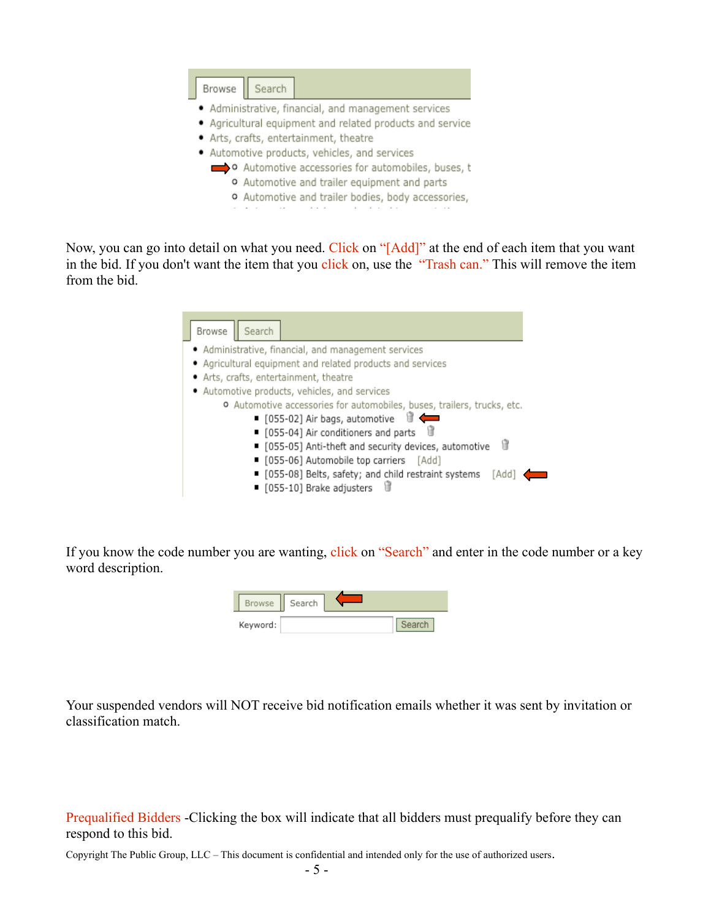

Now, you can go into detail on what you need. Click on "[Add]" at the end of each item that you want in the bid. If you don't want the item that you click on, use the "Trash can." This will remove the item from the bid.

| Browse | Search                                                                  |
|--------|-------------------------------------------------------------------------|
|        | • Administrative, financial, and management services                    |
|        | • Agricultural equipment and related products and services              |
|        | · Arts, crafts, entertainment, theatre                                  |
|        | · Automotive products, vehicles, and services                           |
|        | o Automotive accessories for automobiles, buses, trailers, trucks, etc. |
|        | $\blacksquare$ [055-02] Air bags, automotive $\blacksquare$             |
|        | ■ [055-04] Air conditioners and parts                                   |
|        | Ĥ<br>■ [055-05] Anti-theft and security devices, automotive             |
|        | ■ [055-06] Automobile top carriers [Add]                                |
|        | ■ [055-08] Belts, safety; and child restraint systems<br>[Add           |
|        | ■ [055-10] Brake adjusters                                              |

If you know the code number you are wanting, click on "Search" and enter in the code number or a key word description.

| <b>Browse</b> | Search |  |
|---------------|--------|--|
| Keyword:      |        |  |

Your suspended vendors will NOT receive bid notification emails whether it was sent by invitation or classification match.

Prequalified Bidders -Clicking the box will indicate that all bidders must prequalify before they can respond to this bid.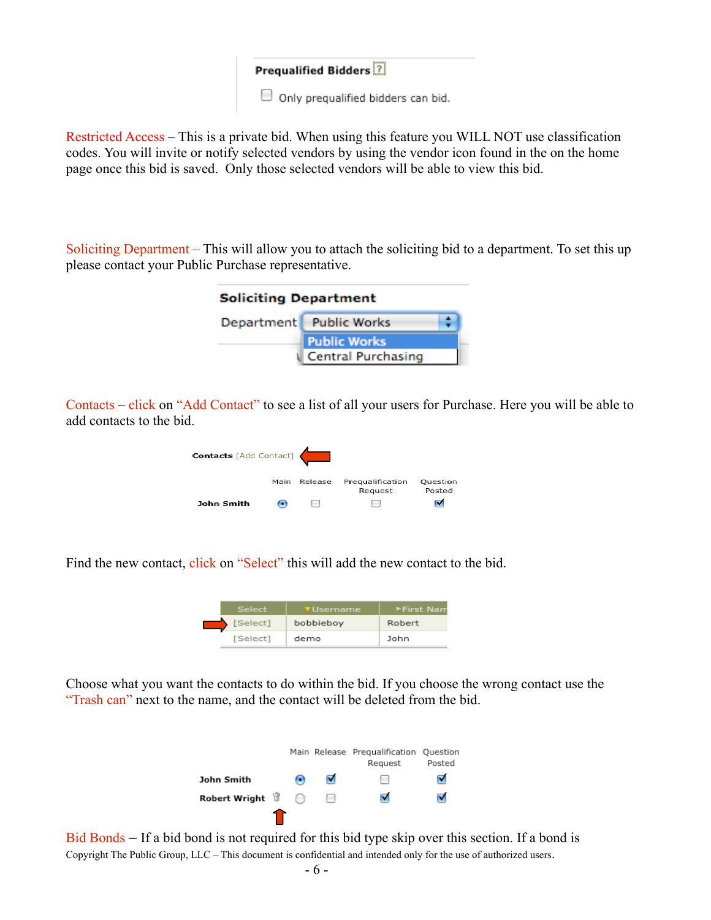| <b>Prequalified Bidders</b> ?             |  |
|-------------------------------------------|--|
| $\Box$ Only pregualified bidders can bid. |  |

Restricted Access – This is a private bid. When using this feature you WILL NOT use classification codes. You will invite or notify selected vendors by using the vendor icon found in the on the home page once this bid is saved. Only those selected vendors will be able to view this bid.

Soliciting Department – This will allow you to attach the soliciting bid to a department. To set this up please contact your Public Purchase representative.

| <b>Soliciting Department</b> |                           |  |  |
|------------------------------|---------------------------|--|--|
|                              | Department Public Works   |  |  |
|                              | <b>Public Works</b>       |  |  |
|                              | <b>Central Purchasing</b> |  |  |

Contacts – click on "Add Contact" to see a list of all your users for Purchase. Here you will be able to add contacts to the bid.

| <b>Contacts</b> [Add Contact] |      |         |                             |                    |
|-------------------------------|------|---------|-----------------------------|--------------------|
|                               | Main | Release | Prequalification<br>Request | Ouestion<br>Posted |
| John Smith                    |      |         | $\overline{\phantom{a}}$    |                    |

Find the new contact, click on "Select" this will add the new contact to the bid.

| Select   | <b>V</b> Username | ► First Nam |
|----------|-------------------|-------------|
| [Select] | bobbieboy         | Robert      |
| [Select] | demo              | John        |

Choose what you want the contacts to do within the bid. If you choose the wrong contact use the "Trash can" next to the name, and the contact will be deleted from the bid.



Bid Bonds – If a bid bond is not required for this bid type skip over this section. If a bond is Copyright The Public Group, LLC – This document is confidential and intended only for the use of authorized users.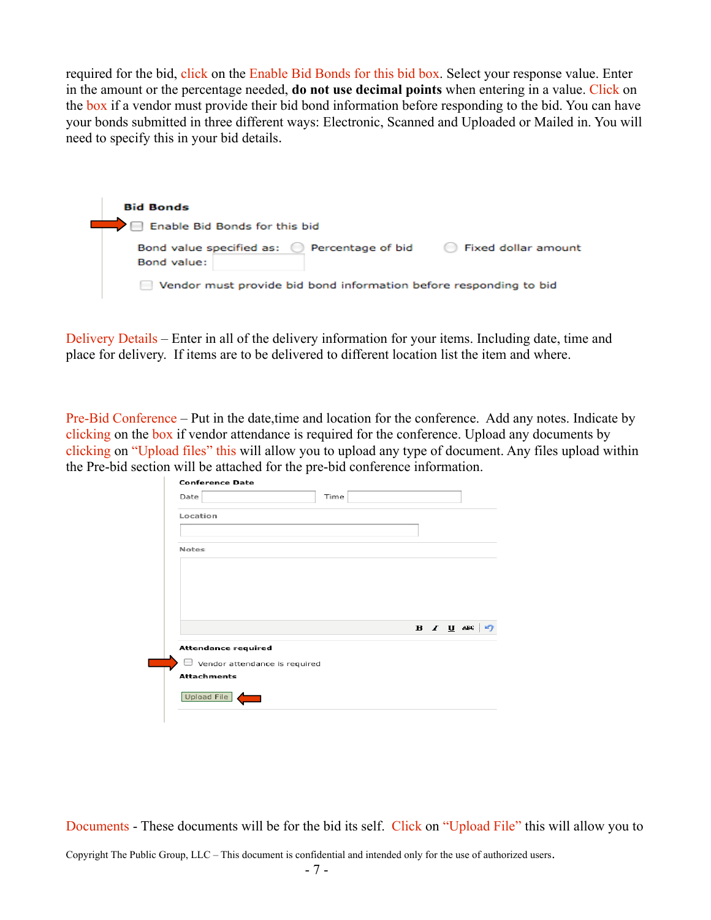required for the bid, click on the Enable Bid Bonds for this bid box. Select your response value. Enter in the amount or the percentage needed, **do not use decimal points** when entering in a value. Click on the box if a vendor must provide their bid bond information before responding to the bid. You can have your bonds submitted in three different ways: Electronic, Scanned and Uploaded or Mailed in. You will need to specify this in your bid details.

| <b>Bid Bonds</b>                                                                           |
|--------------------------------------------------------------------------------------------|
| Enable Bid Bonds for this bid                                                              |
| Bond value specified as: (2) Percentage of bid<br><b>Exed dollar amount</b><br>Bond value: |
| Vendor must provide bid bond information before responding to bid                          |

Delivery Details – Enter in all of the delivery information for your items. Including date, time and place for delivery. If items are to be delivered to different location list the item and where.

Pre-Bid Conference – Put in the date,time and location for the conference. Add any notes. Indicate by clicking on the box if vendor attendance is required for the conference. Upload any documents by clicking on "Upload files" this will allow you to upload any type of document. Any files upload within the Pre-bid section will be attached for the pre-bid conference information.

| Date                          | Time                 |  |
|-------------------------------|----------------------|--|
| Location                      |                      |  |
| Notes                         |                      |  |
|                               |                      |  |
|                               |                      |  |
|                               |                      |  |
|                               |                      |  |
|                               |                      |  |
|                               |                      |  |
|                               | $B$ <i>I</i> $U$ ABC |  |
| <b>Attendance required</b>    |                      |  |
| Vendor attendance is required |                      |  |
| <b>Attachments</b>            |                      |  |
| Upload File                   |                      |  |

Documents - These documents will be for the bid its self. Click on "Upload File" this will allow you to Copyright The Public Group, LLC – This document is confidential and intended only for the use of authorized users.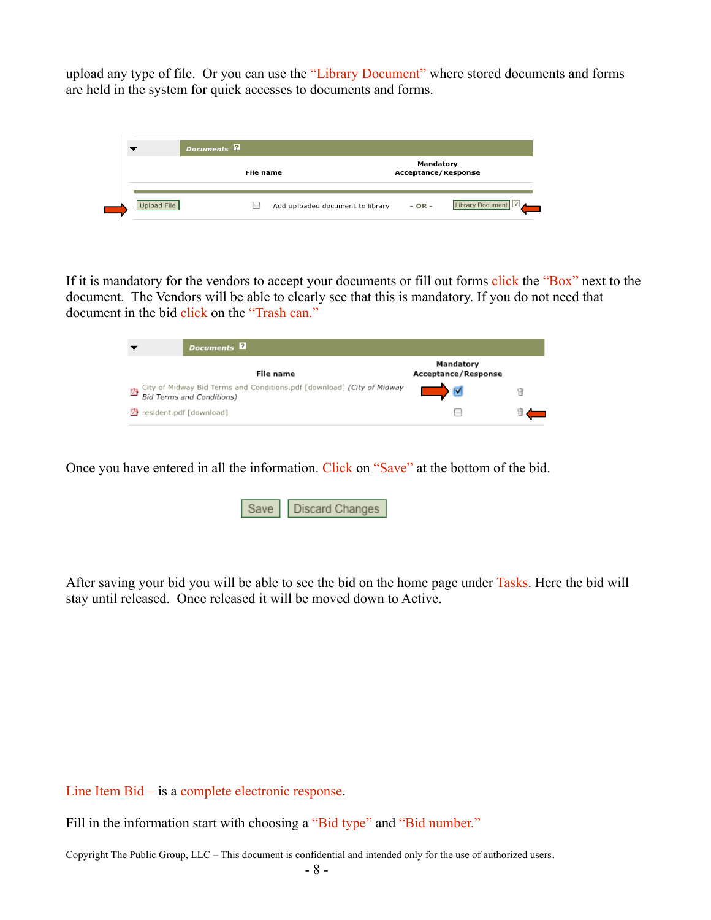upload any type of file. Or you can use the "Library Document" where stored documents and forms are held in the system for quick accesses to documents and forms.

| Documents <sup>2</sup> |                                  |                                         |                    |
|------------------------|----------------------------------|-----------------------------------------|--------------------|
|                        | File name                        | Mandatory<br><b>Acceptance/Response</b> |                    |
| Upload File            | Add uploaded document to library | $- OR -$                                | Library Document ? |

If it is mandatory for the vendors to accept your documents or fill out forms click the "Box" next to the document. The Vendors will be able to clearly see that this is mandatory. If you do not need that document in the bid click on the "Trash can."

| <b>Documents</b>                                                                                                |                                         |  |
|-----------------------------------------------------------------------------------------------------------------|-----------------------------------------|--|
| File name                                                                                                       | Mandatory<br><b>Acceptance/Response</b> |  |
| City of Midway Bid Terms and Conditions.pdf [download] (City of Midway<br>内<br><b>Bid Terms and Conditions)</b> |                                         |  |
| President.pdf [download]                                                                                        |                                         |  |

Once you have entered in all the information. Click on "Save" at the bottom of the bid.

|  | Save   Discard Changes |
|--|------------------------|
|--|------------------------|

After saving your bid you will be able to see the bid on the home page under Tasks. Here the bid will stay until released. Once released it will be moved down to Active.

Line Item Bid – is a complete electronic response.

Fill in the information start with choosing a "Bid type" and "Bid number."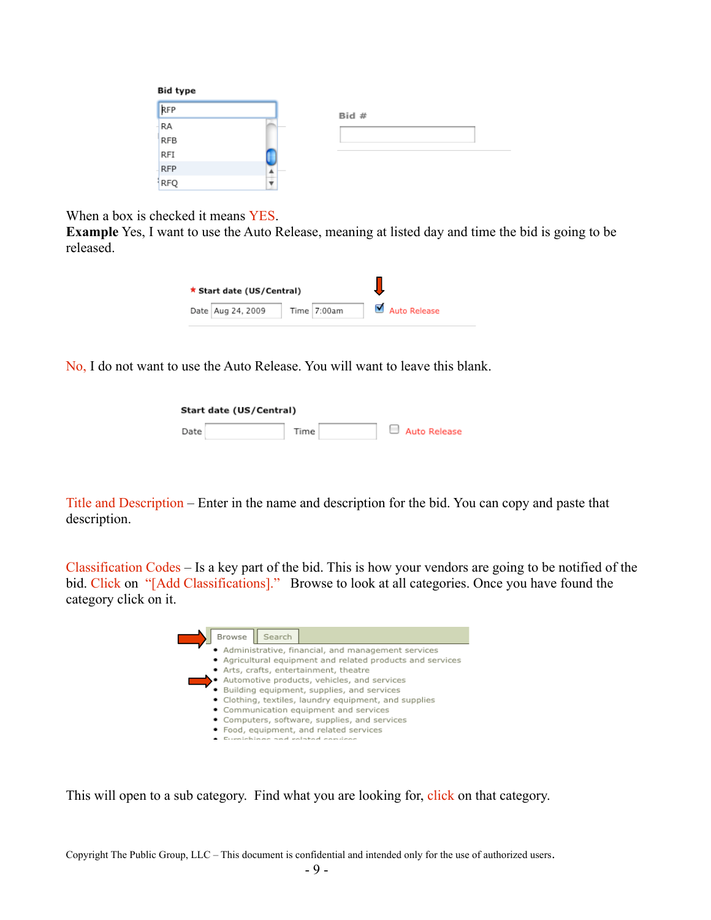| Bid type   |       |  |
|------------|-------|--|
| RFP        | Bid # |  |
| RA         |       |  |
| <b>RFB</b> |       |  |
| RFI        |       |  |
| <b>RFP</b> |       |  |
| RFQ        |       |  |

When a box is checked it means YES.

**Example** Yes, I want to use the Auto Release, meaning at listed day and time the bid is going to be released.

| ★ Start date (US/Central) |             |              |
|---------------------------|-------------|--------------|
| Date   Aug 24, 2009       | Time 7:00am | Auto Release |

No, I do not want to use the Auto Release. You will want to leave this blank.

| Start date (US/Central) |  |        |  |  |              |
|-------------------------|--|--------|--|--|--------------|
| Date                    |  | Time . |  |  | Auto Release |

Title and Description – Enter in the name and description for the bid. You can copy and paste that description.

Classification Codes – Is a key part of the bid. This is how your vendors are going to be notified of the bid. Click on "[Add Classifications]." Browse to look at all categories. Once you have found the category click on it.



This will open to a sub category. Find what you are looking for, click on that category.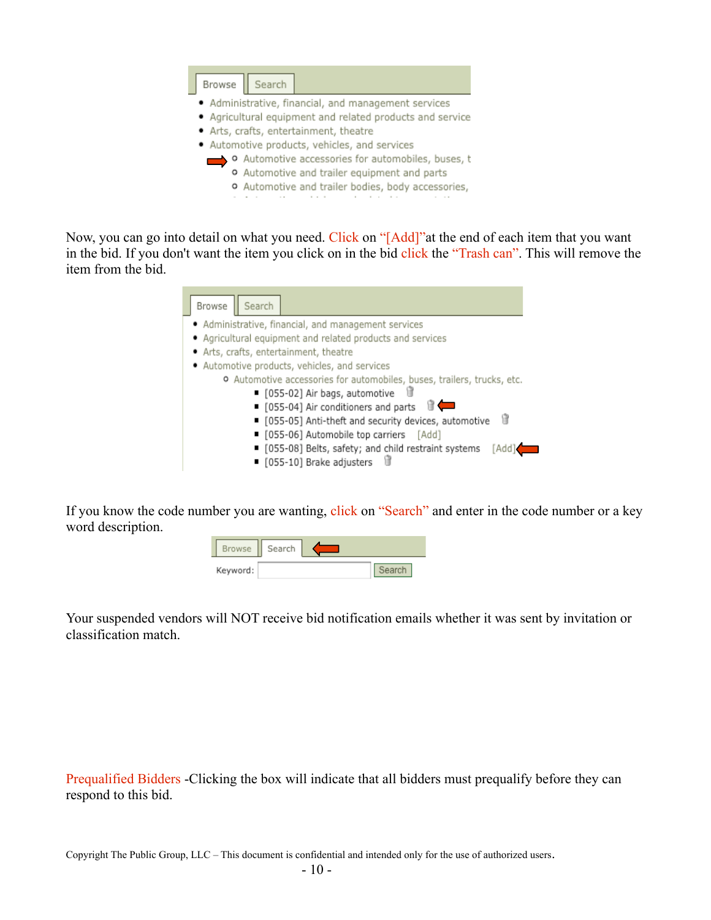

Now, you can go into detail on what you need. Click on "[Add]" at the end of each item that you want in the bid. If you don't want the item you click on in the bid click the "Trash can". This will remove the item from the bid.

| Search<br>Browse                                                        |
|-------------------------------------------------------------------------|
| • Administrative, financial, and management services                    |
| • Agricultural equipment and related products and services              |
| • Arts, crafts, entertainment, theatre                                  |
| · Automotive products, vehicles, and services                           |
| o Automotive accessories for automobiles, buses, trailers, trucks, etc. |
| ■ [055-02] Air bags, automotive                                         |
| ■ [055-04] Air conditioners and parts II                                |
| 储<br>■ [055-05] Anti-theft and security devices, automotive             |
| ■ [055-06] Automobile top carriers [Add]                                |
| ■ [055-08] Belts, safety; and child restraint systems<br>[Add]          |
| ■ [055-10] Brake adjusters                                              |

If you know the code number you are wanting, click on "Search" and enter in the code number or a key word description.

| <b>Browse</b> | Search |  |  |
|---------------|--------|--|--|
| Keyword:      |        |  |  |

Your suspended vendors will NOT receive bid notification emails whether it was sent by invitation or classification match.

Prequalified Bidders -Clicking the box will indicate that all bidders must prequalify before they can respond to this bid.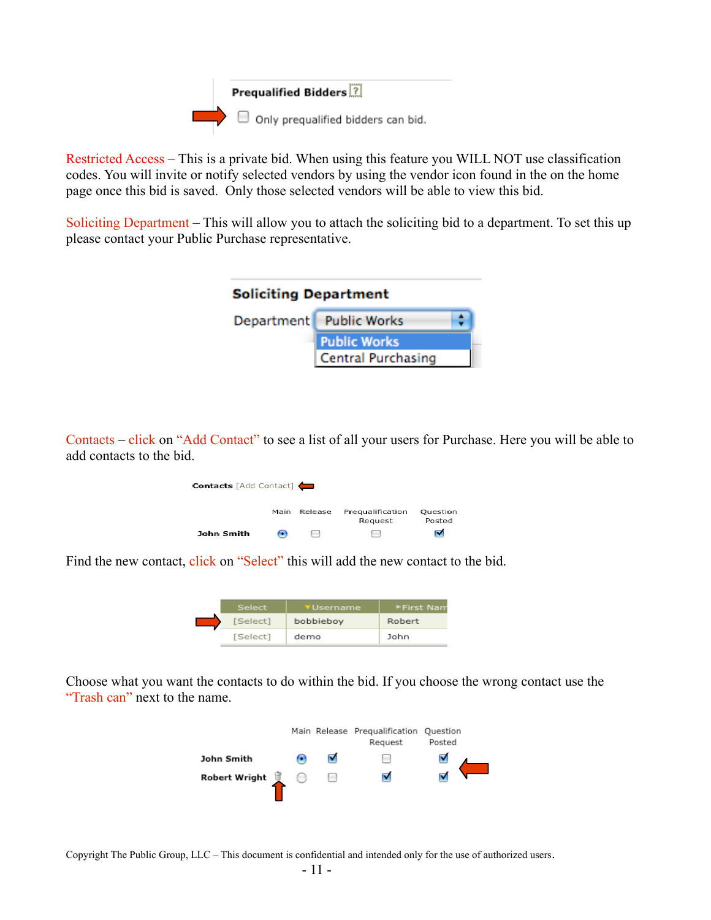

Restricted Access – This is a private bid. When using this feature you WILL NOT use classification codes. You will invite or notify selected vendors by using the vendor icon found in the on the home page once this bid is saved. Only those selected vendors will be able to view this bid.

Soliciting Department – This will allow you to attach the soliciting bid to a department. To set this up please contact your Public Purchase representative.

| <b>Soliciting Department</b> |                           |  |  |
|------------------------------|---------------------------|--|--|
|                              | Department Public Works   |  |  |
|                              | <b>Public Works</b>       |  |  |
|                              | <b>Central Purchasing</b> |  |  |

Contacts – click on "Add Contact" to see a list of all your users for Purchase. Here you will be able to add contacts to the bid.

| <b>Contacts</b> [Add Contact] |      |                          |                             |                    |
|-------------------------------|------|--------------------------|-----------------------------|--------------------|
|                               | Main | Release                  | Pregualification<br>Request | Question<br>Posted |
| John Smith                    | m    | $\overline{\phantom{a}}$ | $\overline{\phantom{a}}$    | ☑                  |

Find the new contact, click on "Select" this will add the new contact to the bid.

|  | Select   | <b>v</b> Username | ▶First Nam |
|--|----------|-------------------|------------|
|  | [Select] | bobbieboy         | Robert     |
|  | [Select] | demo              | John       |

Choose what you want the contacts to do within the bid. If you choose the wrong contact use the "Trash can" next to the name.

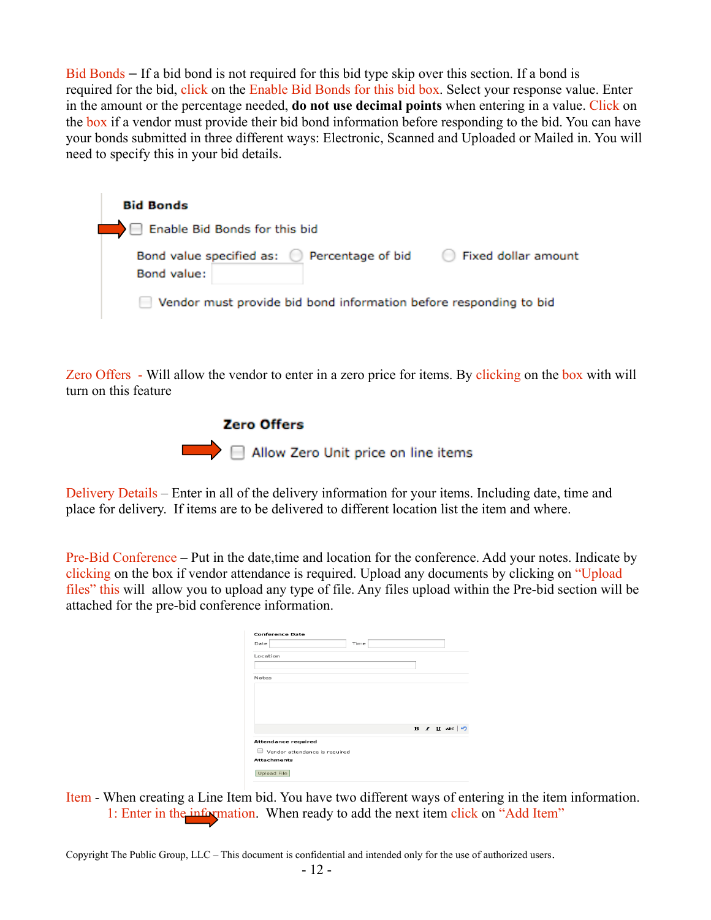Bid Bonds – If a bid bond is not required for this bid type skip over this section. If a bond is required for the bid, click on the Enable Bid Bonds for this bid box. Select your response value. Enter in the amount or the percentage needed, **do not use decimal points** when entering in a value. Click on the box if a vendor must provide their bid bond information before responding to the bid. You can have your bonds submitted in three different ways: Electronic, Scanned and Uploaded or Mailed in. You will need to specify this in your bid details.

| <b>Bid Bonds</b>                                                  |                               |
|-------------------------------------------------------------------|-------------------------------|
| Enable Bid Bonds for this bid                                     |                               |
| Bond value specified as: C Percentage of bid<br>Bond value:       | Fixed dollar amount<br>$\sim$ |
| Vendor must provide bid bond information before responding to bid |                               |

Zero Offers - Will allow the vendor to enter in a zero price for items. By clicking on the box with will turn on this feature



Delivery Details – Enter in all of the delivery information for your items. Including date, time and place for delivery. If items are to be delivered to different location list the item and where.

Pre-Bid Conference – Put in the date,time and location for the conference. Add your notes. Indicate by clicking on the box if vendor attendance is required. Upload any documents by clicking on "Upload files" this will allow you to upload any type of file. Any files upload within the Pre-bid section will be attached for the pre-bid conference information.

| <b>Conference Date</b>        |      |  |  |                      |  |
|-------------------------------|------|--|--|----------------------|--|
| Date                          | Time |  |  |                      |  |
| Location                      |      |  |  |                      |  |
|                               |      |  |  |                      |  |
| Notes                         |      |  |  |                      |  |
|                               |      |  |  |                      |  |
|                               |      |  |  |                      |  |
|                               |      |  |  |                      |  |
|                               |      |  |  |                      |  |
|                               |      |  |  | $B$ <i>I</i> $U$ ABC |  |
| <b>Attendance required</b>    |      |  |  |                      |  |
| Vendor attendance is required |      |  |  |                      |  |
| <b>Attachments</b>            |      |  |  |                      |  |
| Upload File                   |      |  |  |                      |  |

Item - When creating a Line Item bid. You have two different ways of entering in the item information. 1: Enter in the information. When ready to add the next item click on "Add Item"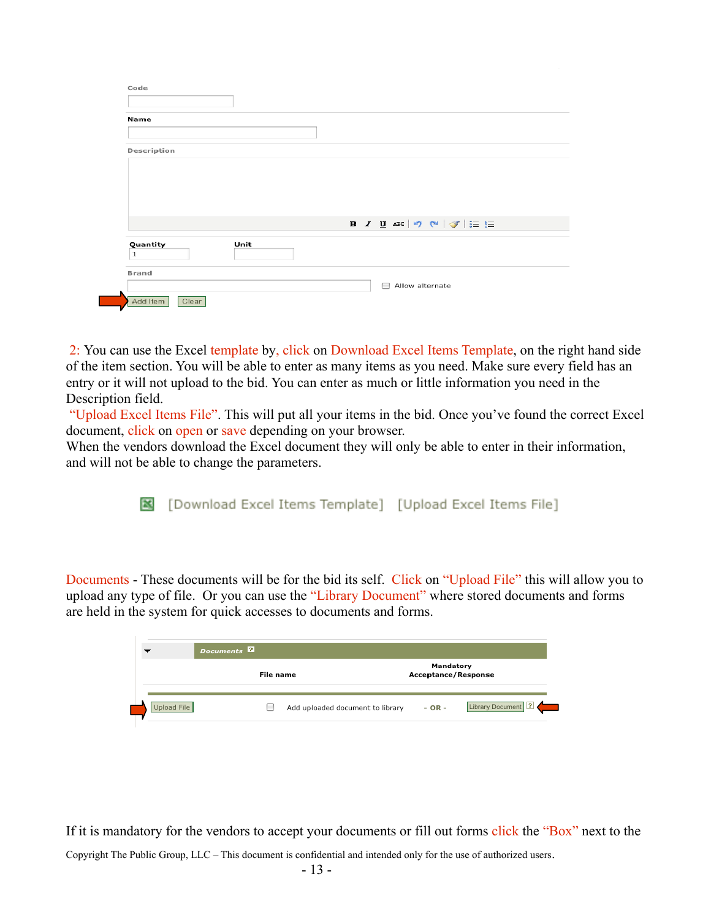| Name         |      |                                                                                |
|--------------|------|--------------------------------------------------------------------------------|
|              |      |                                                                                |
| Description  |      |                                                                                |
|              |      |                                                                                |
|              |      |                                                                                |
|              |      |                                                                                |
|              |      |                                                                                |
|              |      |                                                                                |
|              |      |                                                                                |
|              |      | <b>B</b> $I$ <b>U</b> ARC   $\heartsuit$ (N   $\heartsuit$   $\equiv$ $\equiv$ |
|              |      |                                                                                |
| Quantity     | Unit |                                                                                |
| $\mathbf{1}$ |      |                                                                                |
| Brand        |      |                                                                                |

2: You can use the Excel template by, click on Download Excel Items Template, on the right hand side of the item section. You will be able to enter as many items as you need. Make sure every field has an entry or it will not upload to the bid. You can enter as much or little information you need in the Description field.

"Upload Excel Items File". This will put all your items in the bid. Once you've found the correct Excel document, click on open or save depending on your browser.

When the vendors download the Excel document they will only be able to enter in their information, and will not be able to change the parameters.

[Download Excel Items Template] [Upload Excel Items File]

Documents - These documents will be for the bid its self. Click on "Upload File" this will allow you to upload any type of file. Or you can use the "Library Document" where stored documents and forms are held in the system for quick accesses to documents and forms.

|             | Documents <sup>2</sup>           |                                         |                    |
|-------------|----------------------------------|-----------------------------------------|--------------------|
|             | File name                        | Mandatory<br><b>Acceptance/Response</b> |                    |
| Upload File | Add uploaded document to library | $- OR -$                                | Library Document ? |

If it is mandatory for the vendors to accept your documents or fill out forms click the "Box" next to the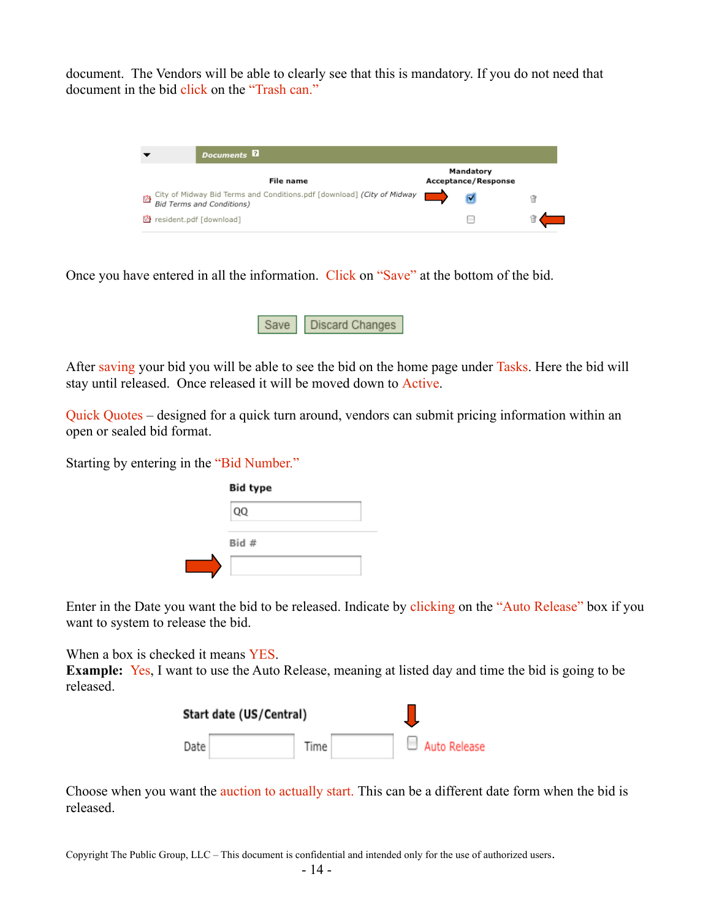document. The Vendors will be able to clearly see that this is mandatory. If you do not need that document in the bid click on the "Trash can."



Once you have entered in all the information. Click on "Save" at the bottom of the bid.



After saving your bid you will be able to see the bid on the home page under Tasks. Here the bid will stay until released. Once released it will be moved down to Active.

Quick Quotes – designed for a quick turn around, vendors can submit pricing information within an open or sealed bid format.

Starting by entering in the "Bid Number."

| <b>Bid type</b> |  |
|-----------------|--|
| QQ              |  |
| Bid #           |  |
|                 |  |

Enter in the Date you want the bid to be released. Indicate by clicking on the "Auto Release" box if you want to system to release the bid.

When a box is checked it means YES.

**Example:** Yes, I want to use the Auto Release, meaning at listed day and time the bid is going to be released.

|        | Start date (US/Central) |      |  |              |
|--------|-------------------------|------|--|--------------|
| Date i |                         | Time |  | Auto Release |

Choose when you want the auction to actually start. This can be a different date form when the bid is released.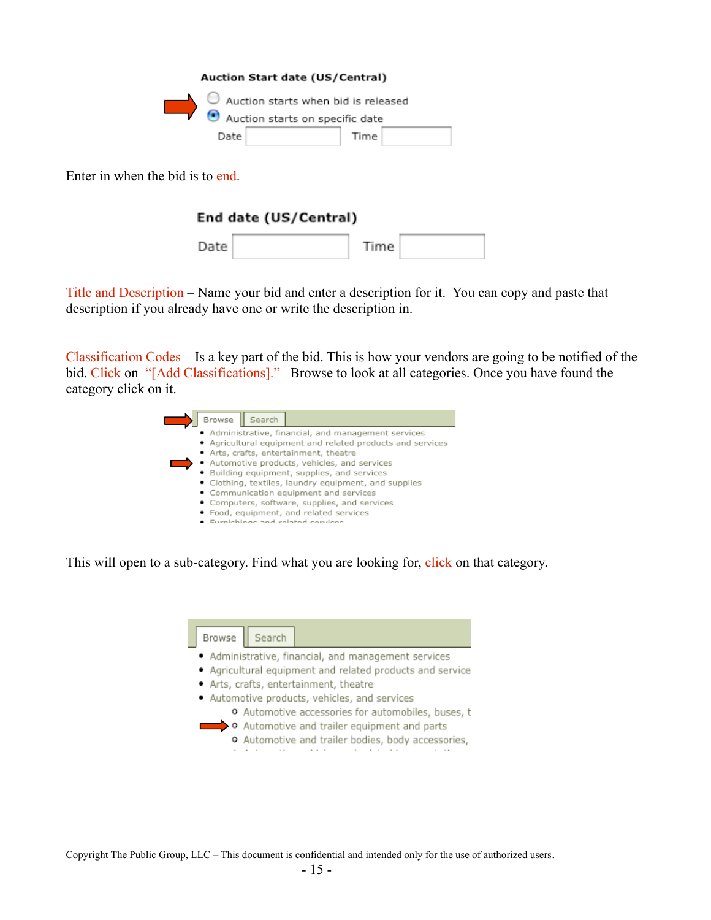| Auction Start date (US/Central) |                                               |
|---------------------------------|-----------------------------------------------|
| Auction starts on specific date | $\bullet$ Auction starts when bid is released |
| Date                            | Time                                          |

Enter in when the bid is to end.

### End date (US/Central)

| Date | Time |  |
|------|------|--|
|      |      |  |

Title and Description – Name your bid and enter a description for it. You can copy and paste that description if you already have one or write the description in.

Classification Codes – Is a key part of the bid. This is how your vendors are going to be notified of the bid. Click on "[Add Classifications]." Browse to look at all categories. Once you have found the category click on it.

| Browse<br>Search                                           |
|------------------------------------------------------------|
| • Administrative, financial, and management services       |
| • Agricultural equipment and related products and services |
| • Arts, crafts, entertainment, theatre                     |
| · Automotive products, vehicles, and services              |
| · Building equipment, supplies, and services               |
| • Clothing, textiles, laundry equipment, and supplies      |
| • Communication equipment and services                     |
| • Computers, software, supplies, and services              |
| · Food, equipment, and related services                    |
| unichings and valated convices                             |

This will open to a sub-category. Find what you are looking for, click on that category.

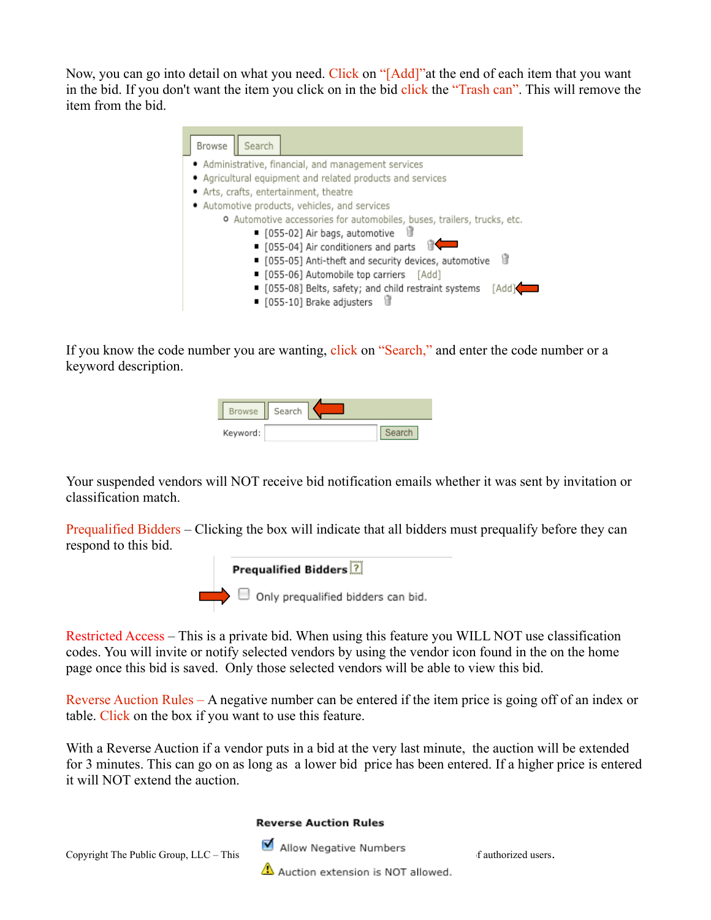Now, you can go into detail on what you need. Click on "[Add]" at the end of each item that you want in the bid. If you don't want the item you click on in the bid click the "Trash can". This will remove the item from the bid.

| Search<br>Browse                                                                             |
|----------------------------------------------------------------------------------------------|
| · Administrative, financial, and management services                                         |
| • Agricultural equipment and related products and services                                   |
| · Arts, crafts, entertainment, theatre                                                       |
| · Automotive products, vehicles, and services                                                |
| o Automotive accessories for automobiles, buses, trailers, trucks, etc.                      |
| ■ [055-02] Air bags, automotive<br>'n                                                        |
| ■ [055-04] Air conditioners and parts                                                        |
| 情<br>■ [055-05] Anti-theft and security devices, automotive                                  |
| ■ [055-06] Automobile top carriers [Add]                                                     |
| ■ [055-08] Belts, safety; and child restraint systems<br>[Add]<br>■ [055-10] Brake adjusters |

If you know the code number you are wanting, click on "Search," and enter the code number or a keyword description.

| <b>Browse</b> | Search |  |  |
|---------------|--------|--|--|
| Keyword:      |        |  |  |

Your suspended vendors will NOT receive bid notification emails whether it was sent by invitation or classification match.

Prequalified Bidders – Clicking the box will indicate that all bidders must prequalify before they can respond to this bid.



Restricted Access – This is a private bid. When using this feature you WILL NOT use classification codes. You will invite or notify selected vendors by using the vendor icon found in the on the home page once this bid is saved. Only those selected vendors will be able to view this bid.

Reverse Auction Rules – A negative number can be entered if the item price is going off of an index or table. Click on the box if you want to use this feature.

With a Reverse Auction if a vendor puts in a bid at the very last minute, the auction will be extended for 3 minutes. This can go on as long as a lower bid price has been entered. If a higher price is entered it will NOT extend the auction.

#### **Reverse Auction Rules**



 $\triangle$  Auction extension is NOT allowed.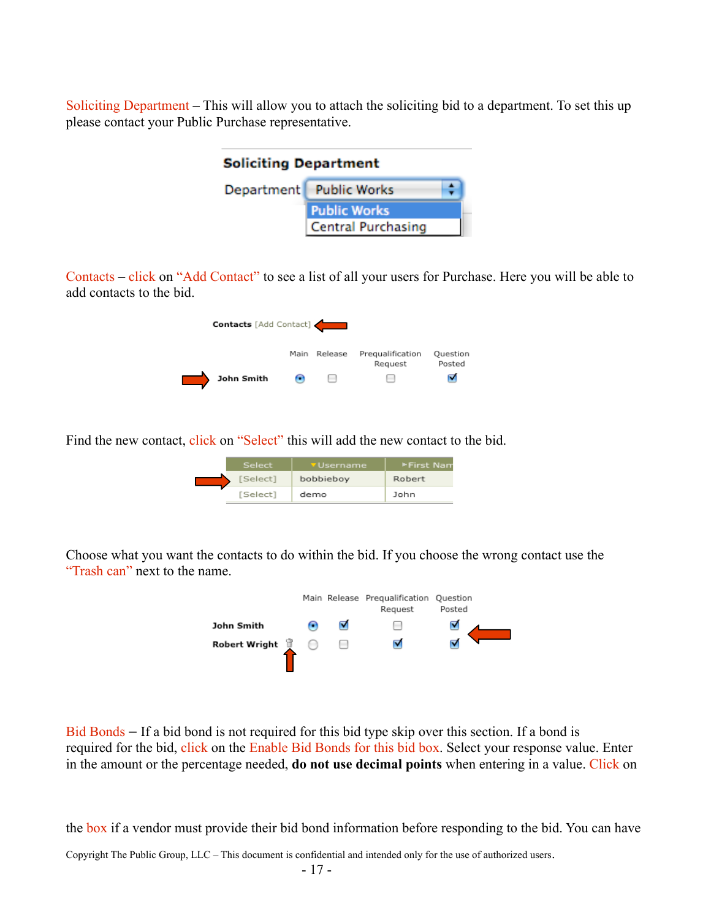Soliciting Department – This will allow you to attach the soliciting bid to a department. To set this up please contact your Public Purchase representative.

| <b>Soliciting Department</b> |                           |  |  |
|------------------------------|---------------------------|--|--|
| Department Public Works      |                           |  |  |
| <b>Public Works</b>          |                           |  |  |
|                              | <b>Central Purchasing</b> |  |  |

Contacts – click on "Add Contact" to see a list of all your users for Purchase. Here you will be able to add contacts to the bid.

| <b>Contacts</b> [Add Contact] |      |         |                             |                    |
|-------------------------------|------|---------|-----------------------------|--------------------|
|                               | Main | Release | Prequalification<br>Request | Question<br>Posted |
| John Smith                    |      |         | $\overline{\phantom{a}}$    |                    |

Find the new contact, click on "Select" this will add the new contact to the bid.

| Select   | <b>v</b> Username. | EFirst Nam |
|----------|--------------------|------------|
| [Select] | bobbieboy          | Robert     |
| [Select] | demo               | John       |

Choose what you want the contacts to do within the bid. If you choose the wrong contact use the "Trash can" next to the name.



Bid Bonds – If a bid bond is not required for this bid type skip over this section. If a bond is required for the bid, click on the Enable Bid Bonds for this bid box. Select your response value. Enter in the amount or the percentage needed, **do not use decimal points** when entering in a value. Click on

the box if a vendor must provide their bid bond information before responding to the bid. You can have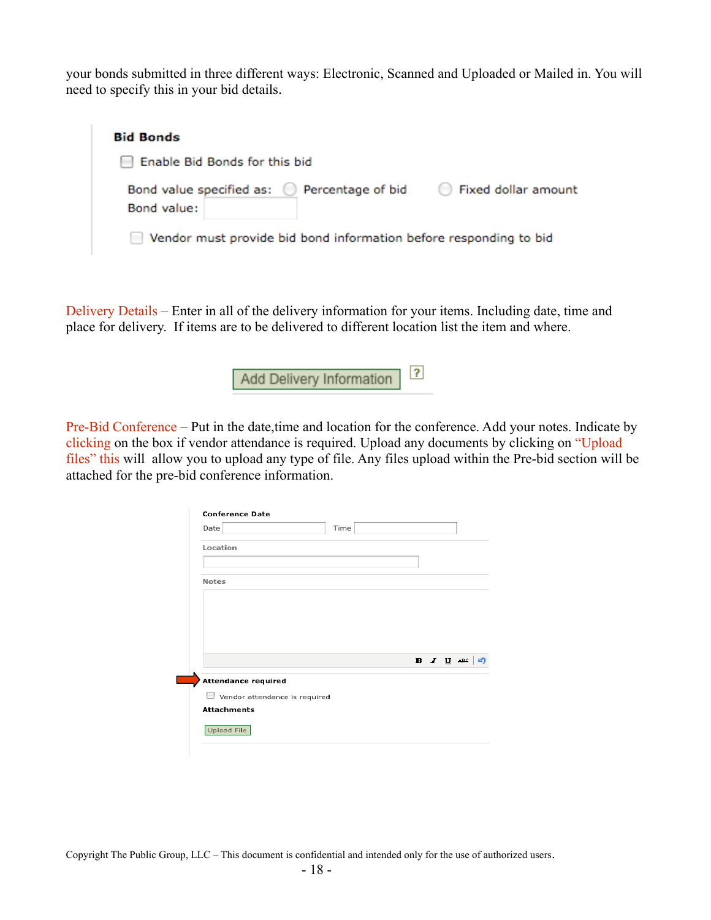your bonds submitted in three different ways: Electronic, Scanned and Uploaded or Mailed in. You will need to specify this in your bid details.

| <b>Bid Bonds</b>                                                                                 |
|--------------------------------------------------------------------------------------------------|
| Enable Bid Bonds for this bid                                                                    |
| Bond value specified as: $\bigcirc$<br>Percentage of bid<br>◯ Fixed dollar amount<br>Bond value: |
| Vendor must provide bid bond information before responding to bid                                |

Delivery Details – Enter in all of the delivery information for your items. Including date, time and place for delivery. If items are to be delivered to different location list the item and where.

> $\overline{?}$ Add Delivery Information

Pre-Bid Conference – Put in the date,time and location for the conference. Add your notes. Indicate by clicking on the box if vendor attendance is required. Upload any documents by clicking on "Upload files" this will allow you to upload any type of file. Any files upload within the Pre-bid section will be attached for the pre-bid conference information.

| Date                          | Time |                      |
|-------------------------------|------|----------------------|
| Location                      |      |                      |
| <b>Notes</b>                  |      |                      |
|                               |      |                      |
|                               |      |                      |
|                               |      |                      |
|                               |      |                      |
|                               |      | $B$ <i>I</i> $U$ ABC |
| <b>Attendance required</b>    |      |                      |
| Vendor attendance is required |      |                      |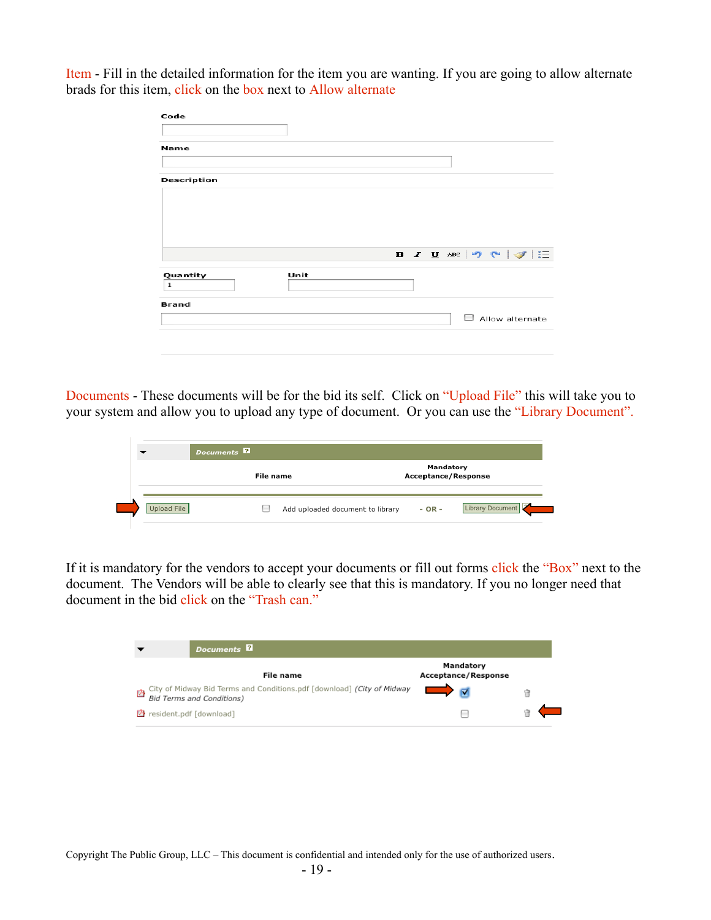Item - Fill in the detailed information for the item you are wanting. If you are going to allow alternate brads for this item, click on the box next to Allow alternate

| Code         |      |                                                                       |
|--------------|------|-----------------------------------------------------------------------|
|              |      |                                                                       |
| <b>Name</b>  |      |                                                                       |
|              |      |                                                                       |
| Description  |      |                                                                       |
|              |      |                                                                       |
|              |      |                                                                       |
|              |      |                                                                       |
|              |      |                                                                       |
|              |      | <b>B</b> $I$ <b>U</b> ABC   $\heartsuit$ (N   $\heartsuit$   $\equiv$ |
|              |      |                                                                       |
| Quantity     | Unit |                                                                       |
| $\mathbf 1$  |      |                                                                       |
|              |      |                                                                       |
| <b>Brand</b> |      | Allow alternate                                                       |
|              |      |                                                                       |

Documents - These documents will be for the bid its self. Click on "Upload File" this will take you to your system and allow you to upload any type of document. Or you can use the "Library Document".

| Documents <sup>2</sup> |  |                                         |          |                  |
|------------------------|--|-----------------------------------------|----------|------------------|
| File name              |  | Mandatory<br><b>Acceptance/Response</b> |          |                  |
| Upload File            |  | Add uploaded document to library        | $- OR -$ | Library Document |

If it is mandatory for the vendors to accept your documents or fill out forms click the "Box" next to the document. The Vendors will be able to clearly see that this is mandatory. If you no longer need that document in the bid click on the "Trash can."

|   | Documents <sup>2</sup>                                                                                     |                                         |  |
|---|------------------------------------------------------------------------------------------------------------|-----------------------------------------|--|
|   | File name                                                                                                  | Mandatory<br><b>Acceptance/Response</b> |  |
| 內 | City of Midway Bid Terms and Conditions.pdf [download] (City of Midway<br><b>Bid Terms and Conditions)</b> |                                         |  |
|   | ■ resident.pdf [download]                                                                                  |                                         |  |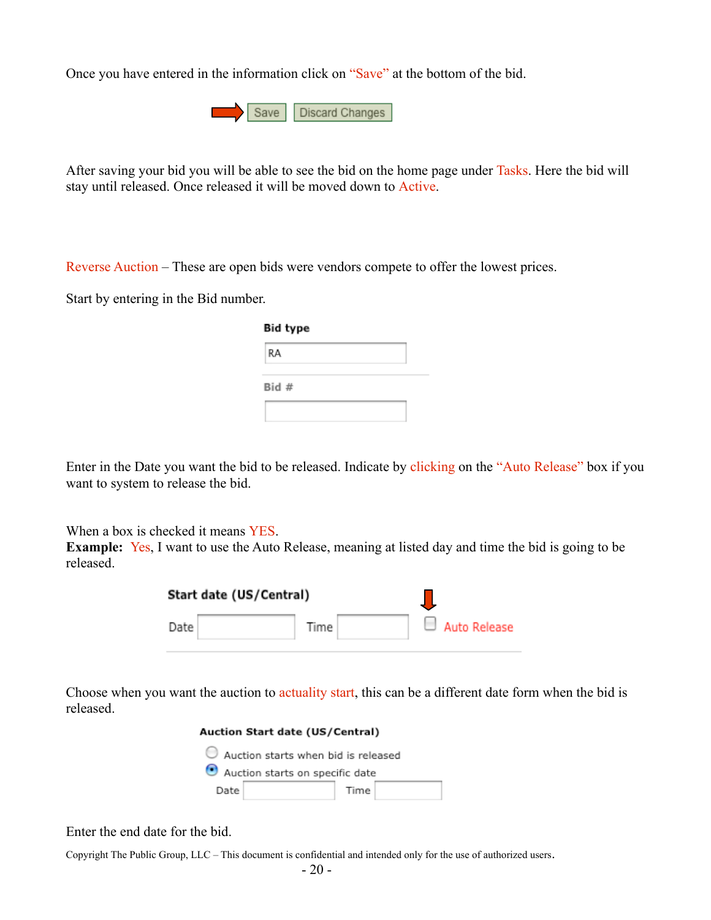Once you have entered in the information click on "Save" at the bottom of the bid.

Save | Discard Changes

After saving your bid you will be able to see the bid on the home page under Tasks. Here the bid will stay until released. Once released it will be moved down to Active.

Reverse Auction – These are open bids were vendors compete to offer the lowest prices.

Start by entering in the Bid number.

| <b>Bid type</b> |  |  |  |
|-----------------|--|--|--|
| RA              |  |  |  |
| Bid#            |  |  |  |
|                 |  |  |  |

Enter in the Date you want the bid to be released. Indicate by clicking on the "Auto Release" box if you want to system to release the bid.

When a box is checked it means YES.

**Example:** Yes, I want to use the Auto Release, meaning at listed day and time the bid is going to be released.

| Start date (US/Central) |      |  |                     |
|-------------------------|------|--|---------------------|
| Date                    | Time |  | $\Box$ Auto Release |

Choose when you want the auction to actuality start, this can be a different date form when the bid is released.

| Auction Start date (US/Central) |                                     |  |  |  |  |  |
|---------------------------------|-------------------------------------|--|--|--|--|--|
|                                 | Auction starts when bid is released |  |  |  |  |  |
|                                 | Auction starts on specific date     |  |  |  |  |  |
| Date<br>Time                    |                                     |  |  |  |  |  |

Enter the end date for the bid.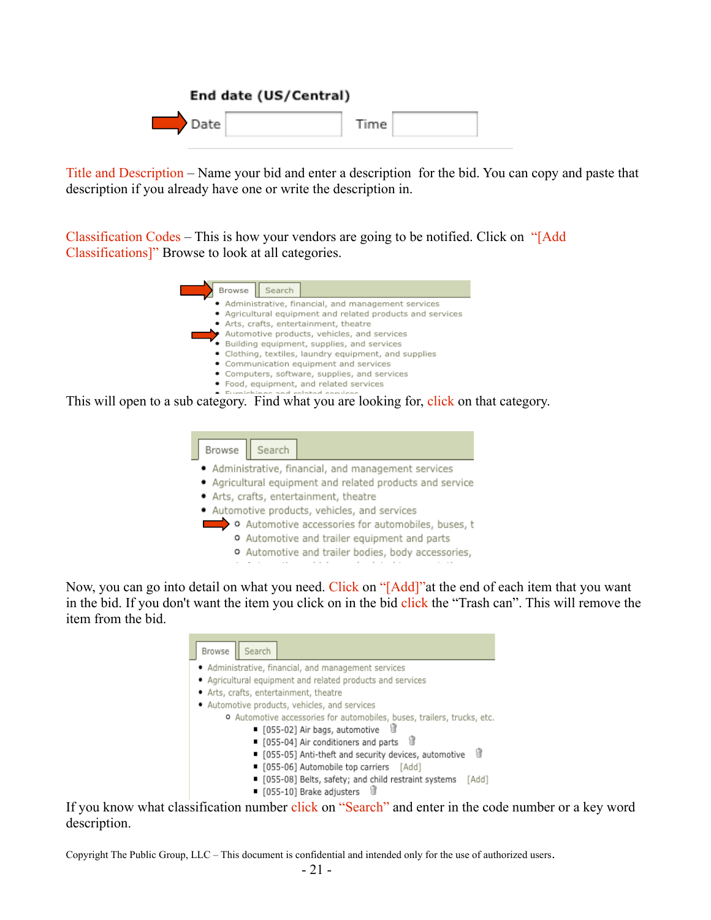|      | End date (US/Central) |      |  |
|------|-----------------------|------|--|
| Date |                       | Time |  |

Title and Description – Name your bid and enter a description for the bid. You can copy and paste that description if you already have one or write the description in.

Classification Codes – This is how your vendors are going to be notified. Click on "[Add Classifications]" Browse to look at all categories.

| Browse<br>Search                                           |
|------------------------------------------------------------|
| • Administrative, financial, and management services       |
| • Agricultural equipment and related products and services |
| • Arts, crafts, entertainment, theatre                     |
| Automotive products, vehicles, and services                |
| · Building equipment, supplies, and services               |
| • Clothing, textiles, laundry equipment, and supplies      |
| • Communication equipment and services                     |
| • Computers, software, supplies, and services              |
| · Food, equipment, and related services                    |
| $\bullet$ Europic bin as part valated semigrap             |

This will open to a sub category. Find what you are looking for, click on that category.

| Browse<br>Search                              |                                                           |
|-----------------------------------------------|-----------------------------------------------------------|
|                                               | • Administrative, financial, and management services      |
|                                               | • Agricultural equipment and related products and service |
| · Arts, crafts, entertainment, theatre        |                                                           |
| · Automotive products, vehicles, and services |                                                           |
|                                               | o Automotive accessories for automobiles, buses, t        |
|                                               | o Automotive and trailer equipment and parts              |
|                                               | o Automotive and trailer bodies, body accessories,        |
|                                               |                                                           |

Now, you can go into detail on what you need. Click on "[Add]" at the end of each item that you want in the bid. If you don't want the item you click on in the bid click the "Trash can". This will remove the item from the bid.

| Search<br>Browse                                                               |
|--------------------------------------------------------------------------------|
| • Administrative, financial, and management services                           |
| • Agricultural equipment and related products and services                     |
| • Arts, crafts, entertainment, theatre                                         |
| • Automotive products, vehicles, and services                                  |
| <b>O</b> Automotive accessories for automobiles, buses, trailers, trucks, etc. |
| ■ [055-02] Air bags, automotive                                                |
| ■ [055-04] Air conditioners and parts<br>'n                                    |
| ■ [055-05] Anti-theft and security devices, automotive                         |
| • [055-06] Automobile top carriers [Add]                                       |
| • [055-08] Belts, safety; and child restraint systems<br>[Add]                 |
| ■ [055-10] Brake adjusters                                                     |

If you know what classification number click on "Search" and enter in the code number or a key word description.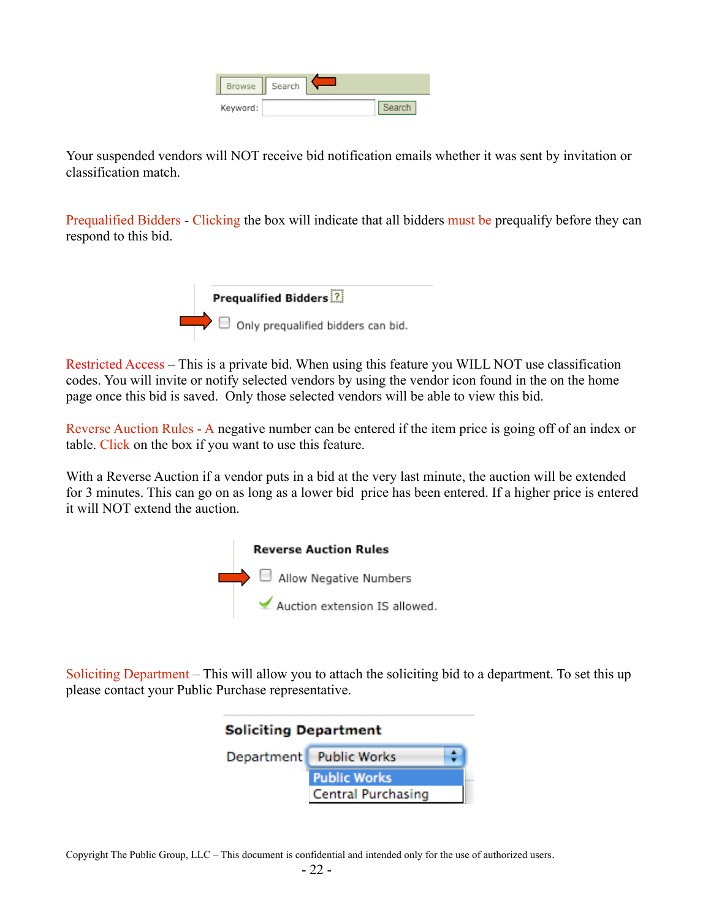| Browse   | Search |  |
|----------|--------|--|
| Keyword: |        |  |

Your suspended vendors will NOT receive bid notification emails whether it was sent by invitation or classification match.

Prequalified Bidders - Clicking the box will indicate that all bidders must be prequalify before they can respond to this bid.



Restricted Access – This is a private bid. When using this feature you WILL NOT use classification codes. You will invite or notify selected vendors by using the vendor icon found in the on the home page once this bid is saved. Only those selected vendors will be able to view this bid.

Reverse Auction Rules - A negative number can be entered if the item price is going off of an index or table. Click on the box if you want to use this feature.

With a Reverse Auction if a vendor puts in a bid at the very last minute, the auction will be extended for 3 minutes. This can go on as long as a lower bid price has been entered. If a higher price is entered it will NOT extend the auction.



Soliciting Department – This will allow you to attach the soliciting bid to a department. To set this up please contact your Public Purchase representative.

| <b>Soliciting Department</b> |                           |  |  |  |
|------------------------------|---------------------------|--|--|--|
|                              | Department Public Works   |  |  |  |
|                              | <b>Public Works</b>       |  |  |  |
|                              | <b>Central Purchasing</b> |  |  |  |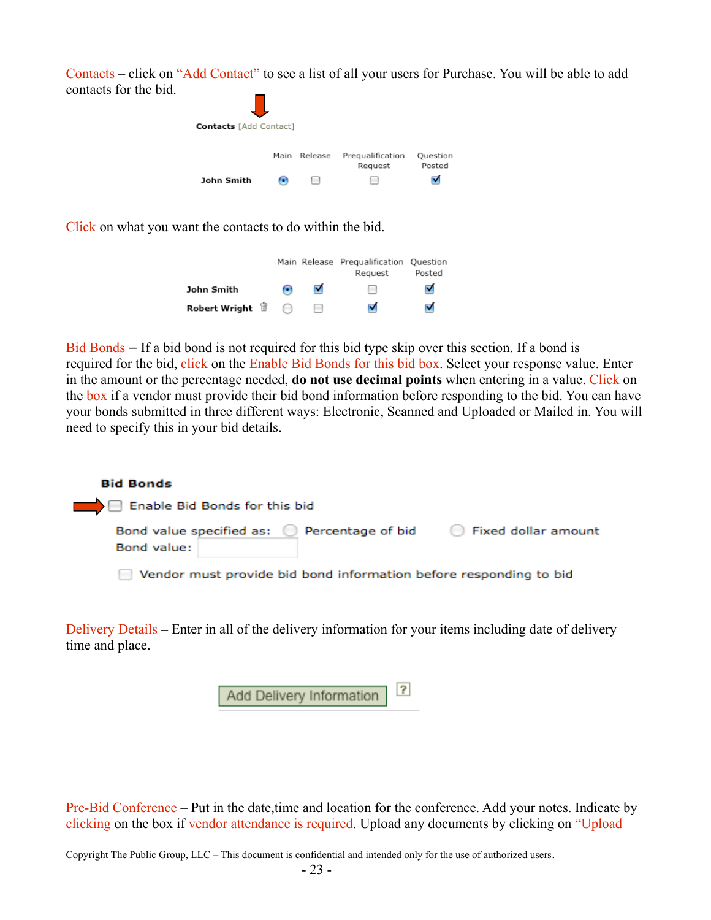Contacts – click on "Add Contact" to see a list of all your users for Purchase. You will be able to add contacts for the bid.

| <b>Contacts</b> [Add Contact] |      |                          |                             |                    |
|-------------------------------|------|--------------------------|-----------------------------|--------------------|
|                               | Main | Release                  | Prequalification<br>Request | Question<br>Posted |
| John Smith                    |      | $\overline{\phantom{a}}$ |                             |                    |

Click on what you want the contacts to do within the bid.

|                      |                          | Main Release Prequalification Question<br>Request | Posted |
|----------------------|--------------------------|---------------------------------------------------|--------|
| John Smith           | ▿                        | m                                                 | ⊽      |
| Robert Wright $\Box$ | $\overline{\phantom{a}}$ | ⊽                                                 | ⊽      |

Bid Bonds – If a bid bond is not required for this bid type skip over this section. If a bond is required for the bid, click on the Enable Bid Bonds for this bid box. Select your response value. Enter in the amount or the percentage needed, **do not use decimal points** when entering in a value. Click on the box if a vendor must provide their bid bond information before responding to the bid. You can have your bonds submitted in three different ways: Electronic, Scanned and Uploaded or Mailed in. You will need to specify this in your bid details.

| <b>Bid Bonds</b>                                                  |                     |
|-------------------------------------------------------------------|---------------------|
| Enable Bid Bonds for this bid                                     |                     |
| Bond value specified as: ( ) Percentage of bid<br>Bond value:     | Fixed dollar amount |
| Vendor must provide bid bond information before responding to bid |                     |

Delivery Details – Enter in all of the delivery information for your items including date of delivery time and place.

| Add Delivery Information ? |  |  |
|----------------------------|--|--|
|----------------------------|--|--|

Pre-Bid Conference – Put in the date,time and location for the conference. Add your notes. Indicate by clicking on the box if vendor attendance is required. Upload any documents by clicking on "Upload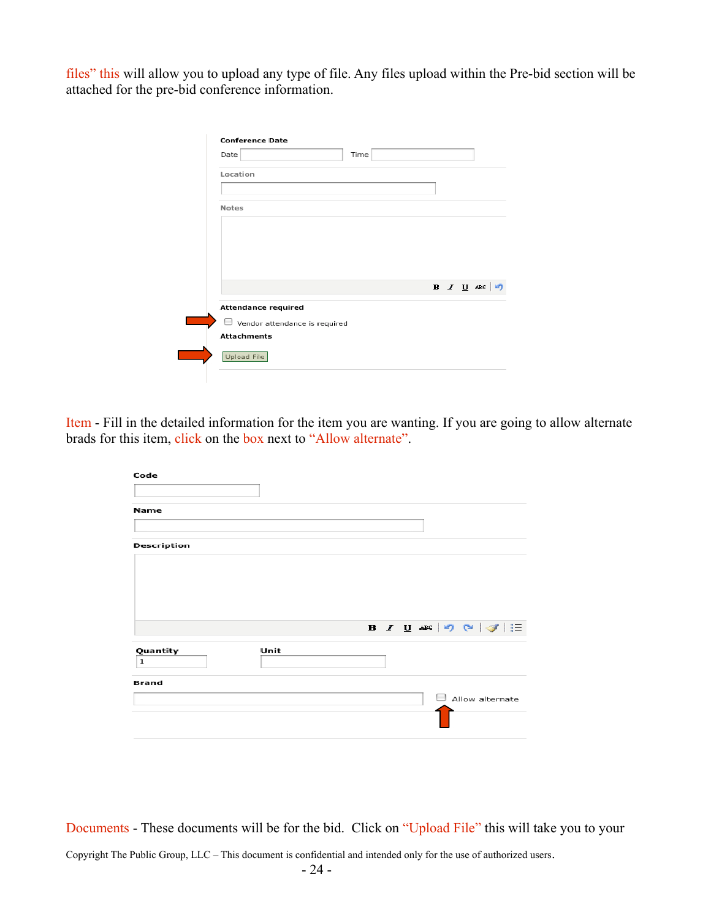files" this will allow you to upload any type of file. Any files upload within the Pre-bid section will be attached for the pre-bid conference information.

Item - Fill in the detailed information for the item you are wanting. If you are going to allow alternate brads for this item, click on the box next to "Allow alternate".

| Code          |      |                                               |
|---------------|------|-----------------------------------------------|
| <b>Name</b>   |      |                                               |
| Description   |      |                                               |
|               |      |                                               |
|               |      |                                               |
|               |      | <b>B</b> $I$ <b>U</b> ABC $ \Psi  \ll  \Psi $ |
| Quantity<br>1 | Unit |                                               |
| <b>Brand</b>  |      |                                               |
|               |      | Allow alternate                               |

Documents - These documents will be for the bid. Click on "Upload File" this will take you to your